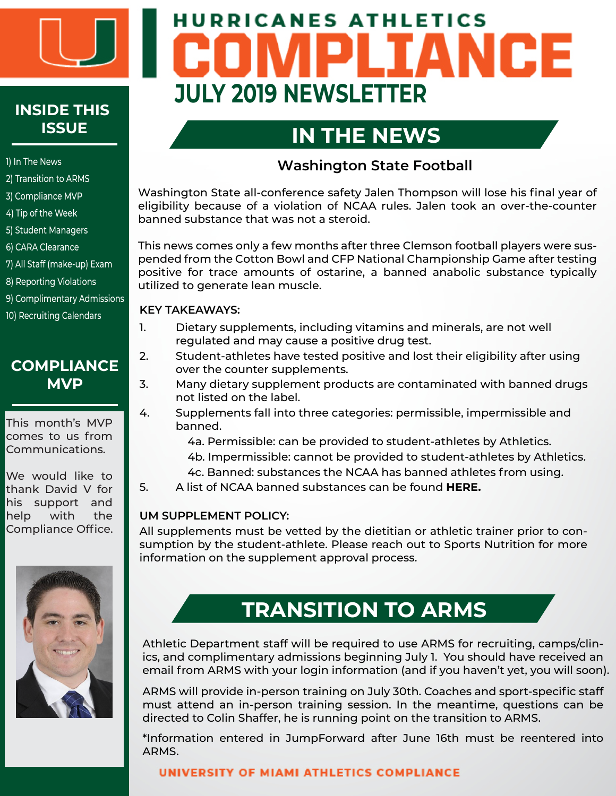

# **INSIDE THIS ISSUE**

#### 1) In The News

- 2) Transition to ARMS
- 3) Compliance MVP
- 4) Tip of the Week
- 5) Student Managers
- 6) CARA Clearance
- 7) All Staff (make-up) Exam
- 8) Reporting Violations
- 9) Complimentary Admissions
- 10) Recruiting Calendars

### **COMPLIANCE MVP**

This month's MVP comes to us from Communications.

We would like to thank David V for his support and help with the Compliance Office.



# **HURRICANES ATHLETICS** IANCE **JULY 2019 NEWSLETTER**

# **IN THE NEWS**

#### **Washington State Football**

Washington State all-conference safety Jalen Thompson will lose his final year of eligibility because of a violation of NCAA rules. Jalen took an over-the-counter banned substance that was not a steroid.

**in the news** positive for trace amounts of ostarine, a banned anabolic substance typically This news comes only a few months after three Clemson football players were suspended from the Cotton Bowl and CFP National Championship Game after testing utilized to generate lean muscle.

#### **KEY TAKEAWAYS:**

- 1. Dietary supplements, including vitamins and minerals, are not well regulated and may cause a positive drug test.
- 2. Student-athletes have tested positive and lost their eligibility after using over the counter supplements.
- 3. Many dietary supplement products are contaminated with banned drugs not listed on the label.
- 4. Supplements fall into three categories: permissible, impermissible and banned.
	- 4a. Permissible: can be provided to student-athletes by Athletics.
	- 4b. Impermissible: cannot be provided to student-athletes by Athletics.
	- 4c. Banned: substances the NCAA has banned athletes from using.
- 5. A list of NCAA banned substances can be found **[HERE.](https://ncaaorg.s3.amazonaws.com/ssi/substance/2019-20NCAA_BannedSubstances.pdf)**

#### **UM SUPPLEMENT POLICY:**

All supplements must be vetted by the dietitian or athletic trainer prior to consumption by the student-athlete. Please reach out to Sports Nutrition for more information on the supplement approval process.

## **TRANSITION TO ARMS**

Athletic Department staff will be required to use ARMS for recruiting, camps/clinics, and complimentary admissions beginning July 1. You should have received an email from ARMS with your login information (and if you haven't yet, you will soon).

ARMS will provide in-person training on July 30th. Coaches and sport-specific staff must attend an in-person training session. In the meantime, questions can be directed to Colin Shaffer, he is running point on the transition to ARMS.

\*Information entered in JumpForward after June 16th must be reentered into ARMS.

#### UNIVERSITY OF MIAMI ATHLETICS COMPLIANCE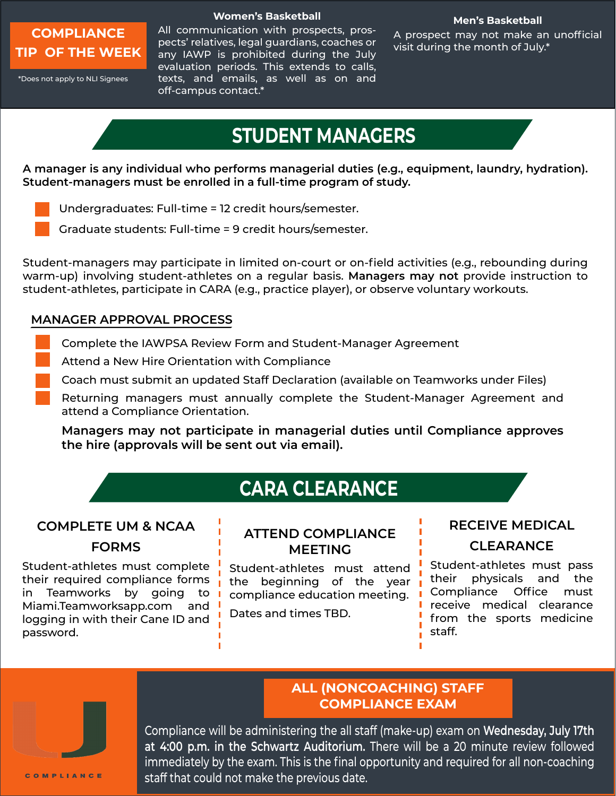

#### **Men's Basketball**

A prospect may not make an unofficial visit during the month of July.\*

\*Does not apply to NLI Signees

All communication with prospects, prospects' relatives, legal guardians, coaches or any IAWP is prohibited during the July evaluation periods. This extends to calls, texts, and emails, as well as on and off-campus contact.\*

## **STUDENT MANAGERS**

**A manager is any individual who performs managerial duties (e.g., equipment, laundry, hydration). Student-managers must be enrolled in a full-time program of study.** 

- Undergraduates: Full-time = 12 credit hours/semester.
- Graduate students: Full-time = 9 credit hours/semester.

Student-managers may participate in limited on-court or on-field activities (e.g., rebounding during warm-up) involving student-athletes on a regular basis. **Managers may not** provide instruction to student-athletes, participate in CARA (e.g., practice player), or observe voluntary workouts.

#### **MANAGER APPROVAL PROCESS**

- Complete the IAWPSA Review Form and Student-Manager Agreement
- Attend a New Hire Orientation with Compliance
- Coach must submit an updated Staff Declaration (available on Teamworks under Files)
- Returning managers must annually complete the Student-Manager Agreement and attend a Compliance Orientation.

**Managers may not participate in managerial duties until Compliance approves the hire (approvals will be sent out via email).**

## **CARA CLEARANCE**

#### **COMPLETE UM & NCAA**

#### **FORMS**

Student-athletes must complete their required compliance forms in Teamworks by going to Miami.Teamworksapp.com and logging in with their Cane ID and password.

#### **ATTEND COMPLIANCE MEETING**

Student-athletes must attend the beginning of the year compliance education meeting.

Dates and times TBD.

#### **RECEIVE MEDICAL**

#### **CLEARANCE**

Student-athletes must pass their physicals and the Compliance Office must receive medical clearance from the sports medicine staff.



#### **ALL (NONCOACHING) STAFF COMPLIANCE EXAM**

Compliance will be administering the all staff (make-up) exam on **Wednesday, July 17th at 4:00 p.m. in the Schwartz Auditorium.** There will be a 20 minute review followed immediately by the exam. This is the final opportunity and required for all non-coaching staff that could not make the previous date.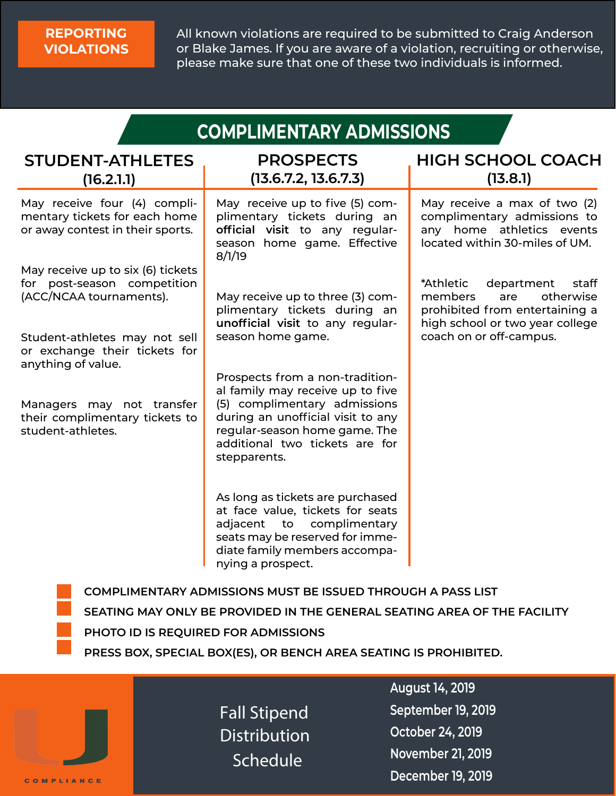#### **REPORTING VIOLATIONS**

All known violations are required to be submitted to Craig Anderson or Blake James. If you are aware of a violation, recruiting or otherwise, please make sure that one of these two individuals is informed.

| <b>COMPLIMENTARY ADMISSIONS</b>                                                                   |                                                                                                                                                                                                                             |                                                                                                                                      |  |  |  |
|---------------------------------------------------------------------------------------------------|-----------------------------------------------------------------------------------------------------------------------------------------------------------------------------------------------------------------------------|--------------------------------------------------------------------------------------------------------------------------------------|--|--|--|
| <b>STUDENT-ATHLETES</b><br>(16.2.1.1)                                                             | <b>PROSPECTS</b><br>(13.6.7.2, 13.6.7.3)                                                                                                                                                                                    | <b>HIGH SCHOOL COACH</b><br>(13.8.1)                                                                                                 |  |  |  |
| May receive four (4) compli-<br>mentary tickets for each home<br>or away contest in their sports. | May receive up to five (5) com-<br>plimentary tickets during an<br>official visit to any regular-<br>season home game. Effective<br>8/1/19                                                                                  | May receive a max of two (2)<br>complimentary admissions to<br>any home athletics events<br>located within 30-miles of UM.           |  |  |  |
| May receive up to six (6) tickets<br>for post-season competition<br>(ACC/NCAA tournaments).       | May receive up to three (3) com-<br>plimentary tickets during an<br>unofficial visit to any regular-                                                                                                                        | department<br>*Athletic<br>staff<br>otherwise<br>members<br>are<br>prohibited from entertaining a<br>high school or two year college |  |  |  |
| Student-athletes may not sell<br>or exchange their tickets for<br>anything of value.              | season home game.                                                                                                                                                                                                           | coach on or off-campus.                                                                                                              |  |  |  |
| Managers may not transfer<br>their complimentary tickets to<br>student-athletes.                  | Prospects from a non-tradition-<br>al family may receive up to five<br>(5) complimentary admissions<br>during an unofficial visit to any<br>regular-season home game. The<br>additional two tickets are for<br>stepparents. |                                                                                                                                      |  |  |  |
|                                                                                                   | As long as tickets are purchased<br>at face value, tickets for seats<br>adjacent<br>to complimentary<br>seats may be reserved for imme-<br>diate family members accompa-<br>nying a prospect.                               |                                                                                                                                      |  |  |  |
|                                                                                                   | <b>COMPLIMENTARY ADMISSIONS MUST BE ISSUED THROUGH A PASS LIST</b>                                                                                                                                                          |                                                                                                                                      |  |  |  |

- **SEATING MAY ONLY BE PROVIDED IN THE GENERAL SEATING AREA OF THE FACILITY**
- **PHOTO ID IS REQUIRED FOR ADMISSIONS**
- **PRESS BOX, SPECIAL BOX(ES), OR BENCH AREA SEATING IS PROHIBITED.**

Fall Stipend Distribution **Schedule** 

**August 14, 2019 September 19, 2019 October 24, 2019 November 21, 2019 December 19, 2019**